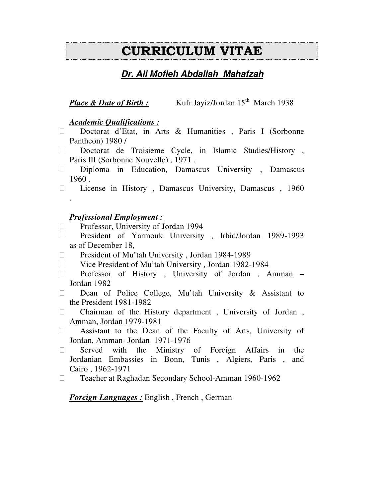# CURRICULUM VITAE

# **Dr. Ali Mofleh Abdallah Mahafzah**

# *Place & Date of Birth :* Kufr Jayiz/Jordan 15<sup>th</sup> March 1938

#### *Academic Qualifications :*

 Doctorat d'Etat, in Arts & Humanities , Paris I (Sorbonne Pantheon) 1980 /

 Doctorat de Troisieme Cycle, in Islamic Studies/History , Paris III (Sorbonne Nouvelle), 1971.

 Diploma in Education, Damascus University , Damascus 1960 .

License in History , Damascus University, Damascus , 1960

### *Professional Employment :*

.

Professor, University of Jordan 1994

 President of Yarmouk University , Irbid/Jordan 1989-1993 as of December 18,

President of Mu'tah University , Jordan 1984-1989

Vice President of Mu'tah University , Jordan 1982-1984

 Professor of History , University of Jordan , Amman – Jordan 1982

 Dean of Police College, Mu'tah University & Assistant to the President 1981-1982

 Chairman of the History department , University of Jordan , Amman, Jordan 1979-1981

 Assistant to the Dean of the Faculty of Arts, University of Jordan, Amman- Jordan 1971-1976

 Served with the Ministry of Foreign Affairs in the Jordanian Embassies in Bonn, Tunis , Algiers, Paris , and Cairo , 1962-1971

Teacher at Raghadan Secondary School-Amman 1960-1962

*Foreign Languages :* English , French , German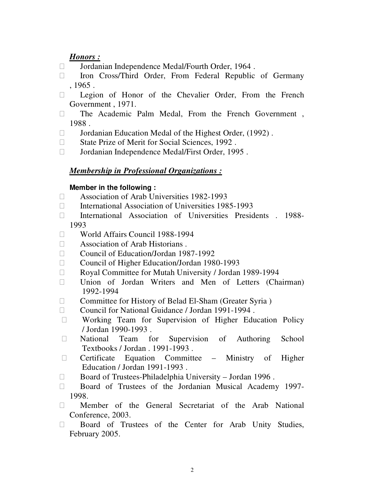#### *Honors :*

Jordanian Independence Medal/Fourth Order, 1964 .

 Iron Cross/Third Order, From Federal Republic of Germany , 1965 .

 Legion of Honor of the Chevalier Order, From the French Government , 1971.

 The Academic Palm Medal, From the French Government , 1988 .

 Jordanian Education Medal of the Highest Order, (1992) . State Prize of Merit for Social Sciences, 1992 .

Jordanian Independence Medal/First Order, 1995 .

#### *Membership in Professional Organizations :*

#### **Member in the following :**

 Association of Arab Universities 1982-1993 International Association of Universities 1985-1993 International Association of Universities Presidents . 1988- 1993 World Affairs Council 1988-1994 Association of Arab Historians . Council of Education/Jordan 1987-1992 Council of Higher Education/Jordan 1980-1993 Royal Committee for Mutah University / Jordan 1989-1994 Union of Jordan Writers and Men of Letters (Chairman) 1992-1994 Committee for History of Belad El-Sham (Greater Syria ) Council for National Guidance / Jordan 1991-1994 . Working Team for Supervision of Higher Education Policy / Jordan 1990-1993 . National Team for Supervision of Authoring School Textbooks / Jordan . 1991-1993 . Certificate Equation Committee – Ministry of Higher Education / Jordan 1991-1993 . Board of Trustees-Philadelphia University – Jordan 1996 . Board of Trustees of the Jordanian Musical Academy 1997- 1998.

 Member of the General Secretariat of the Arab National Conference, 2003.

 Board of Trustees of the Center for Arab Unity Studies, February 2005.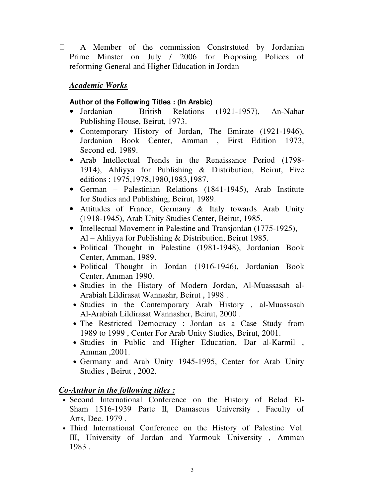A Member of the commission Constrstuted by Jordanian Prime Minster on July / 2006 for Proposing Polices of reforming General and Higher Education in Jordan

# *Academic Works*

## **Author of the Following Titles : (In Arabic)**

- Jordanian British Relations (1921-1957), An-Nahar Publishing House, Beirut, 1973.
- Contemporary History of Jordan, The Emirate (1921-1946), Jordanian Book Center, Amman , First Edition 1973, Second ed. 1989.
- Arab Intellectual Trends in the Renaissance Period (1798-1914), Ahliyya for Publishing & Distribution, Beirut, Five editions : 1975,1978,1980,1983,1987.
- German Palestinian Relations (1841-1945), Arab Institute for Studies and Publishing, Beirut, 1989.
- Attitudes of France, Germany & Italy towards Arab Unity (1918-1945), Arab Unity Studies Center, Beirut, 1985.
- Intellectual Movement in Palestine and Transjordan (1775-1925), Al – Ahliyya for Publishing & Distribution, Beirut 1985.
- Political Thought in Palestine (1981-1948), Jordanian Book Center, Amman, 1989.
- Political Thought in Jordan (1916-1946), Jordanian Book Center, Amman 1990.
- Studies in the History of Modern Jordan, Al-Muassasah al-Arabiah Lildirasat Wannashr, Beirut , 1998 .
- Studies in the Contemporary Arab History , al-Muassasah Al-Arabiah Lildirasat Wannasher, Beirut, 2000 .
- The Restricted Democracy : Jordan as a Case Study from 1989 to 1999 , Center For Arab Unity Studies, Beirut, 2001.
- Studies in Public and Higher Education, Dar al-Karmil , Amman ,2001.
- Germany and Arab Unity 1945-1995, Center for Arab Unity Studies , Beirut , 2002.

# *Co-Author in the following titles :*

- Second International Conference on the History of Belad El-Sham 1516-1939 Parte II, Damascus University , Faculty of Arts, Dec. 1979 .
- Third International Conference on the History of Palestine Vol. III, University of Jordan and Yarmouk University , Amman 1983 .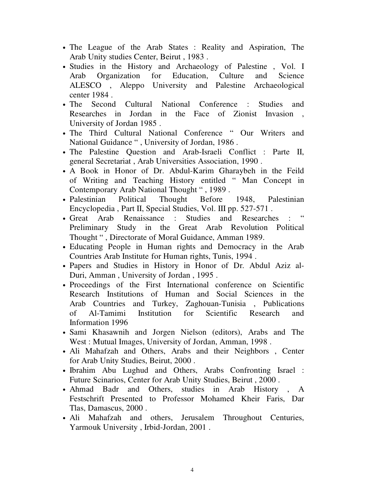- The League of the Arab States : Reality and Aspiration, The Arab Unity studies Center, Beirut , 1983 .
- Studies in the History and Archaeology of Palestine , Vol. I Arab Organization for Education, Culture and Science ALESCO , Aleppo University and Palestine Archaeological center 1984 .
- The Second Cultural National Conference : Studies and Researches in Jordan in the Face of Zionist Invasion , University of Jordan 1985 .
- The Third Cultural National Conference " Our Writers and National Guidance " , University of Jordan, 1986 .
- The Palestine Question and Arab-Israeli Conflict : Parte II, general Secretariat , Arab Universities Association, 1990 .
- A Book in Honor of Dr. Abdul-Karim Gharaybeh in the Feild of Writing and Teaching History entitled " Man Concept in Contemporary Arab National Thought " , 1989 .
- Palestinian Political Thought Before 1948, Palestinian Encyclopedia , Part II, Special Studies, Vol. III pp. 527-571 .
- Great Arab Renaissance : Studies and Researches : Preliminary Study in the Great Arab Revolution Political Thought " , Directorate of Moral Guidance, Amman 1989.
- Educating People in Human rights and Democracy in the Arab Countries Arab Institute for Human rights, Tunis, 1994 .
- Papers and Studies in History in Honor of Dr. Abdul Aziz al-Duri, Amman , University of Jordan , 1995 .
- Proceedings of the First International conference on Scientific Research Institutions of Human and Social Sciences in the Arab Countries and Turkey, Zaghouan-Tunisia , Publications of Al-Tamimi Institution for Scientific Research and Information 1996
- Sami Khasawnih and Jorgen Nielson (editors), Arabs and The West : Mutual Images, University of Jordan, Amman, 1998 .
- Ali Mahafzah and Others, Arabs and their Neighbors , Center for Arab Unity Studies, Beirut, 2000 .
- Ibrahim Abu Lughud and Others, Arabs Confronting Israel : Future Scinarios, Center for Arab Unity Studies, Beirut , 2000 .
- Ahmad Badr and Others, studies in Arab History , A Festschrift Presented to Professor Mohamed Kheir Faris, Dar Tlas, Damascus, 2000 .
- Ali Mahafzah and others, Jerusalem Throughout Centuries, Yarmouk University , Irbid-Jordan, 2001 .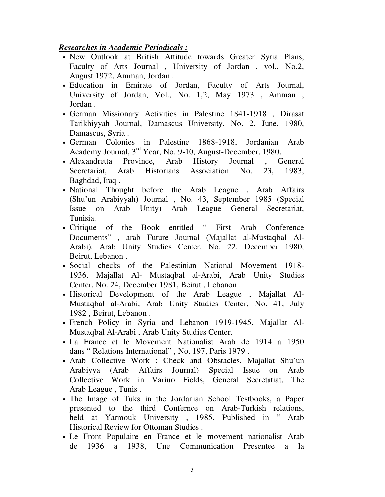### *Researches in Academic Periodicals :*

- New Outlook at British Attitude towards Greater Syria Plans, Faculty of Arts Journal , University of Jordan , vol., No.2, August 1972, Amman, Jordan .
- Education in Emirate of Jordan, Faculty of Arts Journal, University of Jordan, Vol., No. 1,2, May 1973 , Amman , Jordan .
- German Missionary Activities in Palestine 1841-1918 , Dirasat Tarikhiyyah Journal, Damascus University, No. 2, June, 1980, Damascus, Syria .
- German Colonies in Palestine 1868-1918, Jordanian Arab Academy Journal, 3rd Year, No. 9-10, August-December, 1980.
- Alexandretta Province, Arab History Journal , General Secretariat, Arab Historians Association No. 23, 1983, Baghdad, Iraq .
- National Thought before the Arab League, Arab Affairs (Shu'un Arabiyyah) Journal , No. 43, September 1985 (Special Issue on Arab Unity) Arab League General Secretariat, Tunisia.
- Critique of the Book entitled " First Arab Conference Documents" , arab Future Journal (Majallat al-Mustaqbal Al-Arabi), Arab Unity Studies Center, No. 22, December 1980, Beirut, Lebanon .
- Social checks of the Palestinian National Movement 1918- 1936. Majallat Al- Mustaqbal al-Arabi, Arab Unity Studies Center, No. 24, December 1981, Beirut , Lebanon .
- Historical Development of the Arab League , Majallat Al-Mustaqbal al-Arabi, Arab Unity Studies Center, No. 41, July 1982 , Beirut, Lebanon .
- French Policy in Syria and Lebanon 1919-1945, Majallat Al-Mustaqbal Al-Arabi , Arab Unity Studies Center.
- La France et le Movement Nationalist Arab de 1914 a 1950 dans " Relations International" , No. 197, Paris 1979 .
- Arab Collective Work : Check and Obstacles, Majallat Shu'un Arabiyya (Arab Affairs Journal) Special Issue on Arab Collective Work in Variuo Fields, General Secretatiat, The Arab League , Tunis .
- The Image of Tuks in the Jordanian School Testbooks, a Paper presented to the third Confernce on Arab-Turkish relations, held at Yarmouk University , 1985. Published in " Arab Historical Review for Ottoman Studies .
- Le Front Populaire en France et le movement nationalist Arab de 1936 a 1938, Une Communication Presentee a la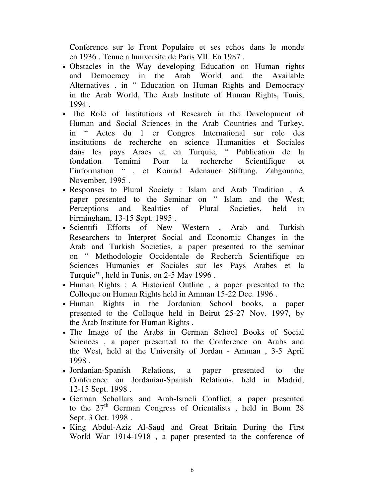Conference sur le Front Populaire et ses echos dans le monde en 1936 , Tenue a luniversite de Paris VII. En 1987 .

- Obstacles in the Way developing Education on Human rights and Democracy in the Arab World and the Available Alternatives . in " Education on Human Rights and Democracy in the Arab World, The Arab Institute of Human Rights, Tunis, 1994 .
- The Role of Institutions of Research in the Development of Human and Social Sciences in the Arab Countries and Turkey, in " Actes du 1 er Congres International sur role des institutions de recherche en science Humanities et Sociales dans les pays Araes et en Turquie, " Publication de la fondation Temimi Pour la recherche Scientifique et l'information " , et Konrad Adenauer Stiftung, Zahgouane, November, 1995 .
- Responses to Plural Society : Islam and Arab Tradition , A paper presented to the Seminar on " Islam and the West; Perceptions and Realities of Plural Societies, held in birmingham, 13-15 Sept. 1995 .
- Scientifi Efforts of New Western , Arab and Turkish Researchers to Interpret Social and Economic Changes in the Arab and Turkish Societies, a paper presented to the seminar on " Methodologie Occidentale de Recherch Scientifique en Sciences Humanies et Sociales sur les Pays Arabes et la Turquie" , held in Tunis, on 2-5 May 1996 .
- Human Rights : A Historical Outline , a paper presented to the Colloque on Human Rights held in Amman 15-22 Dec. 1996 .
- Human Rights in the Jordanian School books, a paper presented to the Colloque held in Beirut 25-27 Nov. 1997, by the Arab Institute for Human Rights .
- The Image of the Arabs in German School Books of Social Sciences , a paper presented to the Conference on Arabs and the West, held at the University of Jordan - Amman , 3-5 April 1998 .
- Jordanian-Spanish Relations, a paper presented to the Conference on Jordanian-Spanish Relations, held in Madrid, 12-15 Sept. 1998 .
- German Schollars and Arab-Israeli Conflict, a paper presented to the 27<sup>th</sup> German Congress of Orientalists, held in Bonn 28 Sept. 3 Oct. 1998 .
- King Abdul-Aziz Al-Saud and Great Britain During the First World War 1914-1918 , a paper presented to the conference of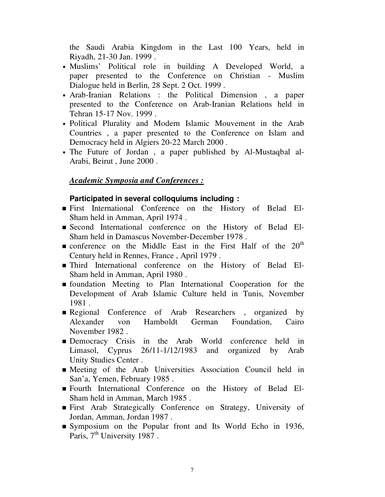the Saudi Arabia Kingdom in the Last 100 Years, held in Riyadh, 21-30 Jan. 1999 .

- Muslims' Political role in building A Developed World, a paper presented to the Conference on Christian - Muslim Dialogue held in Berlin, 28 Sept. 2 Oct. 1999 .
- Arab-Iranian Relations : the Political Dimension , a paper presented to the Conference on Arab-Iranian Relations held in Tehran 15-17 Nov. 1999 .
- Political Plurality and Modern Islamic Mouvement in the Arab Countries , a paper presented to the Conference on Islam and Democracy held in Algiers 20-22 March 2000 .
- The Future of Jordan , a paper published by Al-Mustaqbal al-Arabi, Beirut , June 2000 .

# *Academic Symposia and Conferences :*

### **Participated in several colloquiums including :**

- First International Conference on the History of Belad El-Sham held in Amman, April 1974 .
- Second International conference on the History of Belad El-Sham held in Damascus November-December 1978 .
- $\blacksquare$  conference on the Middle East in the First Half of the 20<sup>th</sup> Century held in Rennes, France , April 1979 .
- Third International conference on the History of Belad El-Sham held in Amman, April 1980 .
- foundation Meeting to Plan International Cooperation for the Development of Arab Islamic Culture held in Tunis, November 1981 .
- Regional Conference of Arab Researchers, organized by Alexander von Hamboldt German Foundation, Cairo November 1982 .
- Democracy Crisis in the Arab World conference held in Limasol, Cyprus 26/11-1/12/1983 and organized by Arab Unity Studies Center .
- Meeting of the Arab Universities Association Council held in San'a, Yemen, February 1985 .
- Fourth International Conference on the History of Belad El-Sham held in Amman, March 1985 .
- First Arab Strategically Conference on Strategy, University of Jordan, Amman, Jordan 1987 .
- Symposium on the Popular front and Its World Echo in 1936, Paris, 7<sup>th</sup> University 1987.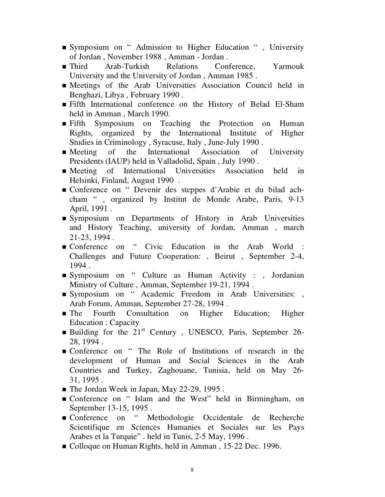- Symposium on " Admission to Higher Education " , University of Jordan , November 1988 , Amman - Jordan .
- Third Arab-Turkish Relations Conference, Yarmouk University and the University of Jordan , Amman 1985 .
- Meetings of the Arab Universities Association Council held in Benghazi, Libya , February 1990 .
- Fifth International conference on the History of Belad El-Sham held in Amman , March 1990.
- Fifth Symposium on Teaching the Protection on Human Rights, organized by the International Institute of Higher Studies in Criminology , Syracuse, Italy , June-July 1990 .
- Meeting of the International Association of University Presidents (IAUP) held in Valladolid, Spain , July 1990 .
- Meeting of International Universities Association held in Helsinki, Finland, August 1990 .
- Conference on " Devenir des steppes d'Arabie et du bilad achcham " , organized by Institut de Monde Arabe, Paris, 9-13 April, 1991 .
- Symposium on Departments of History in Arab Universities and History Teaching, university of Jordan, Amman , march 21-23, 1994 .
- Conference on " Civic Education in the Arab World : Challenges and Future Cooperation: , Beirut , September 2-4, 1994 .
- Symposium on " Culture as Human Activity : , Jordanian Ministry of Culture , Amman, September 19-21, 1994 .
- Symposium on " Academic Freedom in Arab Universities: , Arab Forum, Amman, September 27-28, 1994 .
- **The Fourth Consultation on Higher Education; Higher** Education : Capacity
- **Building for the 21<sup>st</sup> Century**, UNESCO, Paris, September 26-28, 1994 .
- Conference on " The Role of Institutions of research in the development of Human and Social Sciences in the Arab Countries and Turkey, Zaghouane, Tunisia, held on May 26- 31, 1995 .
- The Jordan Week in Japan, May 22-29, 1995.
- Conference on " Islam and the West" held in Birmingham, on September 13-15, 1995 .
- Conference on " Methodologie Occidentale de Recherche Scientifique en Sciences Humanies et Sociales sur les Pays Arabes et la Turquie" . held in Tunis, 2-5 May, 1996 .
- Colloque on Human Rights, held in Amman, 15-22 Dec. 1996.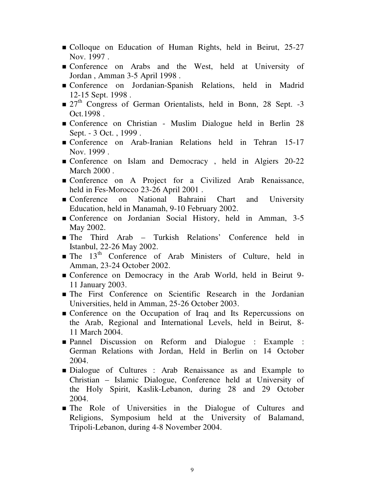- Colloque on Education of Human Rights, held in Beirut, 25-27 Nov. 1997 .
- Conference on Arabs and the West, held at University of Jordan , Amman 3-5 April 1998 .
- Conference on Jordanian-Spanish Relations, held in Madrid 12-15 Sept. 1998 .
- $\bullet$  27<sup>th</sup> Congress of German Orientalists, held in Bonn, 28 Sept. -3 Oct.1998 .
- Conference on Christian Muslim Dialogue held in Berlin 28 Sept. - 3 Oct. , 1999 .
- Conference on Arab-Iranian Relations held in Tehran 15-17 Nov. 1999 .
- Conference on Islam and Democracy , held in Algiers 20-22 March 2000.
- Conference on A Project for a Civilized Arab Renaissance, held in Fes-Morocco 23-26 April 2001.
- Conference on National Bahraini Chart and University Education, held in Manamah, 9-10 February 2002.
- Conference on Jordanian Social History, held in Amman, 3-5 May 2002.
- The Third Arab Turkish Relations' Conference held in Istanbul, 22-26 May 2002.
- $\blacksquare$  The 13<sup>th</sup> Conference of Arab Ministers of Culture, held in Amman, 23-24 October 2002.
- Conference on Democracy in the Arab World, held in Beirut 9- 11 January 2003.
- The First Conference on Scientific Research in the Jordanian Universities, held in Amman, 25-26 October 2003.
- **Conference on the Occupation of Iraq and Its Repercussions on** the Arab, Regional and International Levels, held in Beirut, 8- 11 March 2004.
- Pannel Discussion on Reform and Dialogue : Example : German Relations with Jordan, Held in Berlin on 14 October 2004.
- Dialogue of Cultures : Arab Renaissance as and Example to Christian – Islamic Dialogue, Conference held at University of the Holy Spirit, Kaslik-Lebanon, during 28 and 29 October 2004.
- The Role of Universities in the Dialogue of Cultures and Religions, Symposium held at the University of Balamand, Tripoli-Lebanon, during 4-8 November 2004.